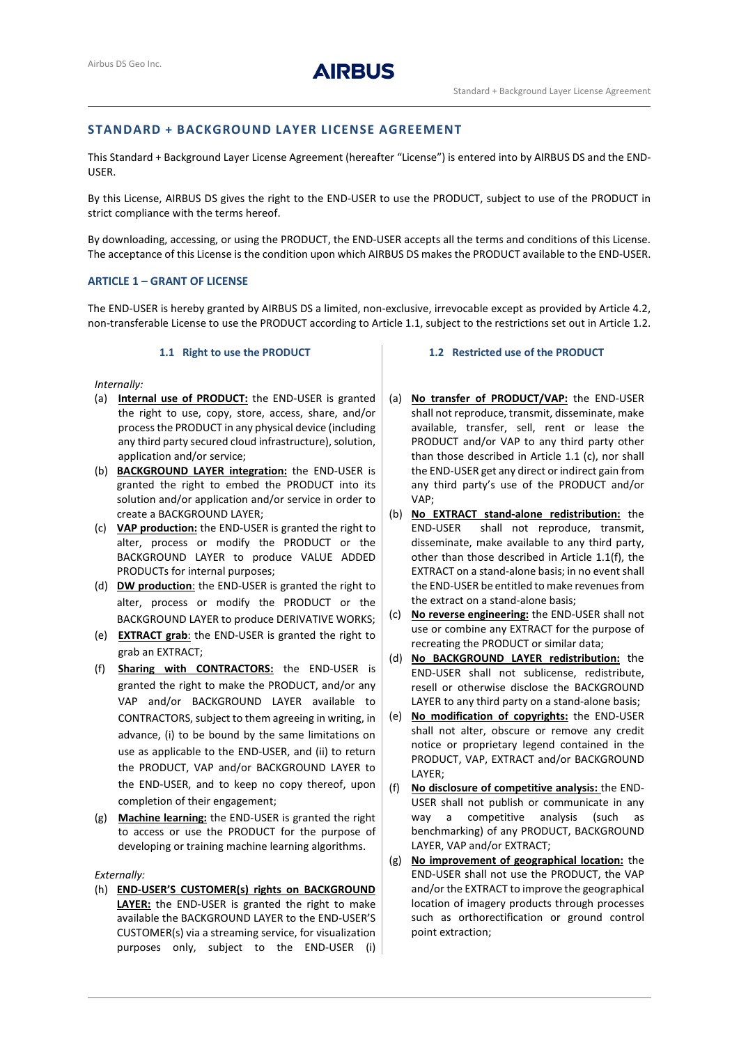

# **STANDARD + BACKGROUND LAYER LICENSE AGREEMENT**

This Standard + Background Layer License Agreement (hereafter "License") is entered into by AIRBUS DS and the END-USER.

By this License, AIRBUS DS gives the right to the END-USER to use the PRODUCT, subject to use of the PRODUCT in strict compliance with the terms hereof.

By downloading, accessing, or using the PRODUCT, the END-USER accepts all the terms and conditions of this License. The acceptance of this License is the condition upon which AIRBUS DS makes the PRODUCT available to the END-USER.

## **ARTICLE 1 – GRANT OF LICENSE**

The END-USER is hereby granted by AIRBUS DS a limited, non-exclusive, irrevocable except as provided by Article 4.2, non-transferable License to use the PRODUCT according to Article [1.1,](#page-0-0) subject to the restrictions set out in Article 1.2.

#### **1.1 Right to use the PRODUCT**

<span id="page-0-0"></span>*Internally:*

- (a) **Internal use of PRODUCT:** the END-USER is granted the right to use, copy, store, access, share, and/or processthe PRODUCT in any physical device (including any third party secured cloud infrastructure), solution, application and/or service;
- (b) **BACKGROUND LAYER integration:** the END-USER is granted the right to embed the PRODUCT into its solution and/or application and/or service in order to create a BACKGROUND LAYER;
- (c) **VAP production:** the END-USER is granted the right to alter, process or modify the PRODUCT or the BACKGROUND LAYER to produce VALUE ADDED PRODUCTs for internal purposes;
- (d) **DW production**: the END-USER is granted the right to alter, process or modify the PRODUCT or the BACKGROUND LAYER to produce DERIVATIVE WORKS;
- (e) **EXTRACT grab**: the END-USER is granted the right to grab an EXTRACT;
- (f) **Sharing with CONTRACTORS:** the END-USER is granted the right to make the PRODUCT, and/or any VAP and/or BACKGROUND LAYER available to CONTRACTORS, subject to them agreeing in writing, in advance, (i) to be bound by the same limitations on use as applicable to the END-USER, and (ii) to return the PRODUCT, VAP and/or BACKGROUND LAYER to the END-USER, and to keep no copy thereof, upon completion of their engagement;
- (g) **Machine learning:** the END-USER is granted the right to access or use the PRODUCT for the purpose of developing or training machine learning algorithms.

## *Externally:*

(h) **END-USER'S CUSTOMER(s) rights on BACKGROUND LAYER:** the END-USER is granted the right to make available the BACKGROUND LAYER to the END-USER'S CUSTOMER(s) via a streaming service, for visualization purposes only, subject to the END-USER (i)

## **1.2 Restricted use of the PRODUCT**

- (a) **No transfer of PRODUCT/VAP:** the END-USER shall not reproduce, transmit, disseminate, make available, transfer, sell, rent or lease the PRODUCT and/or VAP to any third party other than those described in Article 1.1 (c), nor shall the END-USER get any direct or indirect gain from any third party's use of the PRODUCT and/or VAP;
- (b) **No EXTRACT stand-alone redistribution:** the END-USER shall not reproduce, transmit, disseminate, make available to any third party, other than those described in Article 1.1(f), the EXTRACT on a stand-alone basis; in no event shall the END-USER be entitled to make revenues from the extract on a stand-alone basis;
- (c) **No reverse engineering:** the END-USER shall not use or combine any EXTRACT for the purpose of recreating the PRODUCT or similar data;
- (d) **No BACKGROUND LAYER redistribution:** the END-USER shall not sublicense, redistribute, resell or otherwise disclose the BACKGROUND LAYER to any third party on a stand-alone basis;
- (e) **No modification of copyrights:** the END-USER shall not alter, obscure or remove any credit notice or proprietary legend contained in the PRODUCT, VAP, EXTRACT and/or BACKGROUND LAYER;
- (f) **No disclosure of competitive analysis:** the END-USER shall not publish or communicate in any way a competitive analysis (such as benchmarking) of any PRODUCT, BACKGROUND LAYER, VAP and/or EXTRACT;
- (g) **No improvement of geographical location:** the END-USER shall not use the PRODUCT, the VAP and/or the EXTRACT to improve the geographical location of imagery products through processes such as orthorectification or ground control point extraction;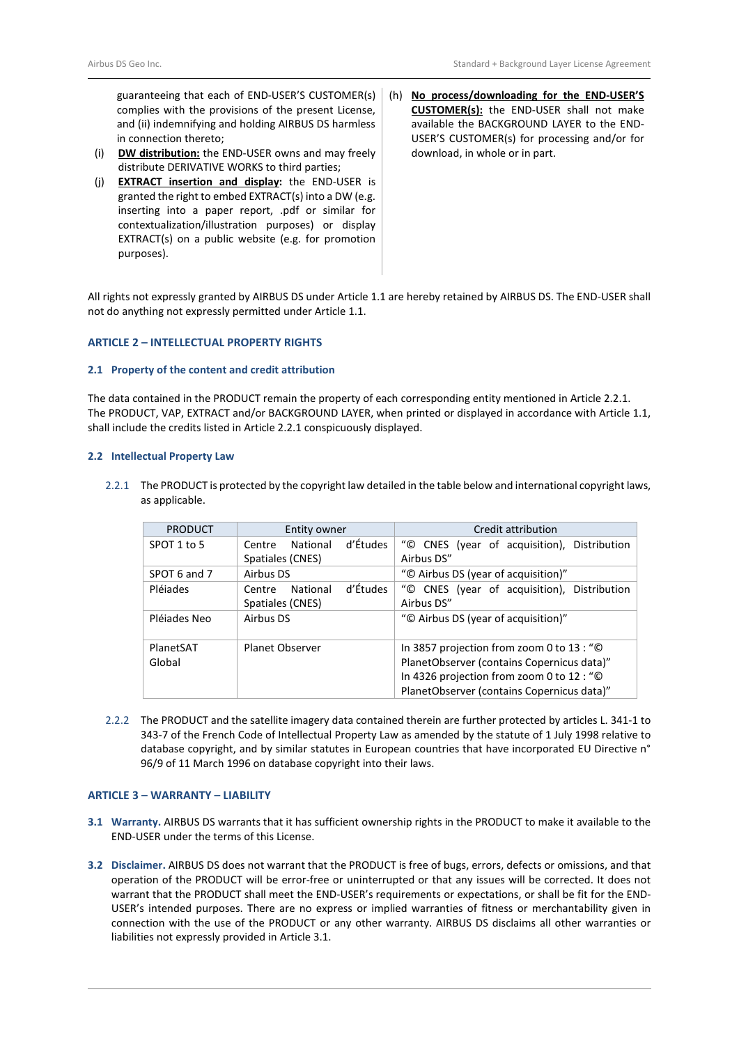guaranteeing that each of END-USER'S CUSTOMER(s) complies with the provisions of the present License, and (ii) indemnifying and holding AIRBUS DS harmless in connection thereto;

- (i) **DW distribution:** the END-USER owns and may freely distribute DERIVATIVE WORKS to third parties;
- (j) **EXTRACT insertion and display:** the END-USER is granted the right to embed EXTRACT(s) into a DW (e.g. inserting into a paper report, .pdf or similar for contextualization/illustration purposes) or display EXTRACT(s) on a public website (e.g. for promotion purposes).
- (h) **No process/downloading for the END-USER'S CUSTOMER(s):** the END-USER shall not make available the BACKGROUND LAYER to the END-USER'S CUSTOMER(s) for processing and/or for download, in whole or in part.

All rights not expressly granted by AIRBUS DS under Article [1.1](#page-0-0) are hereby retained by AIRBUS DS. The END-USER shall not do anything not expressly permitted under Article [1.1.](#page-0-0)

## **ARTICLE 2 – INTELLECTUAL PROPERTY RIGHTS**

#### **2.1 Property of the content and credit attribution**

The data contained in the PRODUCT remain the property of each corresponding entity mentioned in Article 2.2.1. The PRODUCT, VAP, EXTRACT and/or BACKGROUND LAYER, when printed or displayed in accordance with Article [1.1,](#page-0-0) shall include the credits listed in Article 2.2.1 conspicuously displayed.

## **2.2 Intellectual Property Law**

2.2.1 The PRODUCT is protected by the copyright law detailed in the table below and international copyright laws, as applicable.

| <b>PRODUCT</b> | Entity owner                   | Credit attribution                          |
|----------------|--------------------------------|---------------------------------------------|
| SPOT 1 to 5    | d'Études<br>National<br>Centre | "© CNES (year of acquisition), Distribution |
|                | Spatiales (CNES)               | Airbus DS"                                  |
| SPOT 6 and 7   | Airbus DS                      | "© Airbus DS (year of acquisition)"         |
| Pléjades       | d'Études<br>National<br>Centre | "© CNES (year of acquisition), Distribution |
|                | Spatiales (CNES)               | Airbus DS"                                  |
| Pléjades Neo   | Airbus DS                      | "© Airbus DS (year of acquisition)"         |
|                |                                |                                             |
| PlanetSAT      | <b>Planet Observer</b>         | In 3857 projection from zoom 0 to 13 : "©   |
| Global         |                                | PlanetObserver (contains Copernicus data)"  |
|                |                                | In 4326 projection from zoom 0 to 12 : "©   |
|                |                                | PlanetObserver (contains Copernicus data)"  |

2.2.2 The PRODUCT and the satellite imagery data contained therein are further protected by articles L. 341-1 to 343-7 of the French Code of Intellectual Property Law as amended by the statute of 1 July 1998 relative to database copyright, and by similar statutes in European countries that have incorporated EU Directive n° 96/9 of 11 March 1996 on database copyright into their laws.

# **ARTICLE 3 – WARRANTY – LIABILITY**

- <span id="page-1-0"></span>**3.1 Warranty.** AIRBUS DS warrants that it has sufficient ownership rights in the PRODUCT to make it available to the END-USER under the terms of this License.
- **3.2 Disclaimer.** AIRBUS DS does not warrant that the PRODUCT is free of bugs, errors, defects or omissions, and that operation of the PRODUCT will be error-free or uninterrupted or that any issues will be corrected. It does not warrant that the PRODUCT shall meet the END-USER's requirements or expectations, or shall be fit for the END-USER's intended purposes. There are no express or implied warranties of fitness or merchantability given in connection with the use of the PRODUCT or any other warranty. AIRBUS DS disclaims all other warranties or liabilities not expressly provided in Articl[e 3.1.](#page-1-0)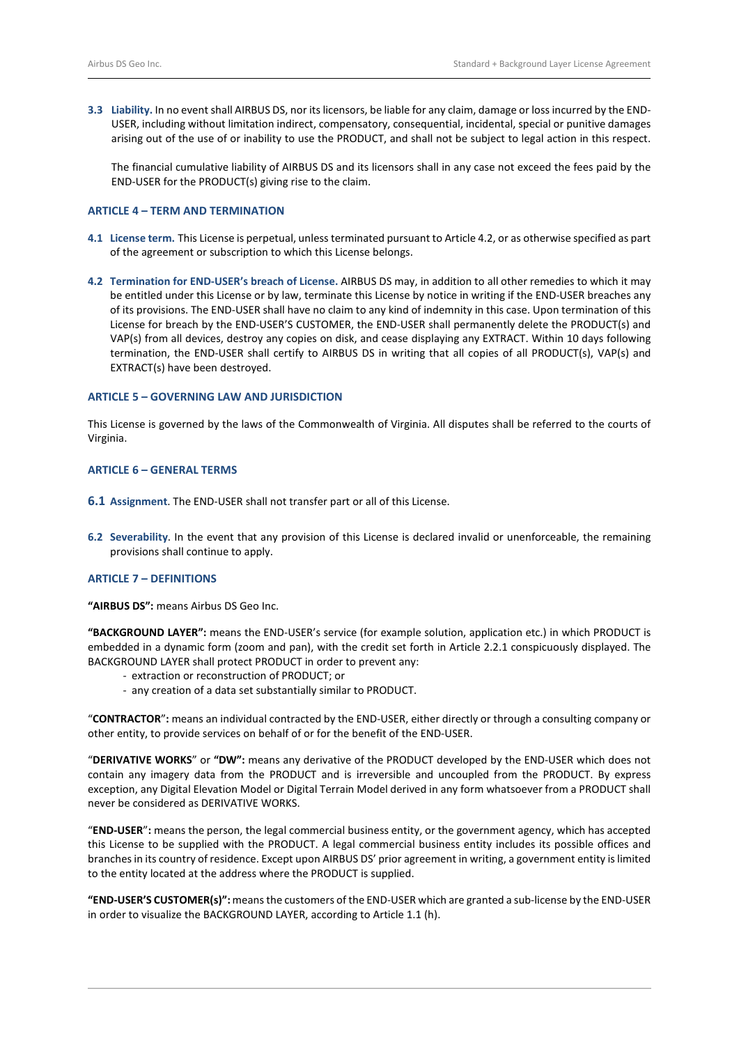**3.3 Liability.** In no event shall AIRBUS DS, nor its licensors, be liable for any claim, damage or loss incurred by the END-USER, including without limitation indirect, compensatory, consequential, incidental, special or punitive damages arising out of the use of or inability to use the PRODUCT, and shall not be subject to legal action in this respect.

The financial cumulative liability of AIRBUS DS and its licensors shall in any case not exceed the fees paid by the END-USER for the PRODUCT(s) giving rise to the claim.

# **ARTICLE 4 – TERM AND TERMINATION**

- **4.1 License term.** This License is perpetual, unless terminated pursuant to Article 4.2, or as otherwise specified as part of the agreement or subscription to which this License belongs.
- **4.2 Termination for END-USER's breach of License.** AIRBUS DS may, in addition to all other remedies to which it may be entitled under this License or by law, terminate this License by notice in writing if the END-USER breaches any of its provisions. The END-USER shall have no claim to any kind of indemnity in this case. Upon termination of this License for breach by the END-USER'S CUSTOMER, the END-USER shall permanently delete the PRODUCT(s) and VAP(s) from all devices, destroy any copies on disk, and cease displaying any EXTRACT. Within 10 days following termination, the END-USER shall certify to AIRBUS DS in writing that all copies of all PRODUCT(s), VAP(s) and EXTRACT(s) have been destroyed.

## **ARTICLE 5 – GOVERNING LAW AND JURISDICTION**

This License is governed by the laws of the Commonwealth of Virginia. All disputes shall be referred to the courts of Virginia.

#### **ARTICLE 6 – GENERAL TERMS**

- **6.1 Assignment**. The END-USER shall not transfer part or all of this License.
- **6.2 Severability**. In the event that any provision of this License is declared invalid or unenforceable, the remaining provisions shall continue to apply.

## **ARTICLE 7 – DEFINITIONS**

**"AIRBUS DS":** means Airbus DS Geo Inc.

**"BACKGROUND LAYER":** means the END-USER's service (for example solution, application etc.) in which PRODUCT is embedded in a dynamic form (zoom and pan), with the credit set forth in Article 2.2.1 conspicuously displayed. The BACKGROUND LAYER shall protect PRODUCT in order to prevent any:

- extraction or reconstruction of PRODUCT; or
- any creation of a data set substantially similar to PRODUCT.

"**CONTRACTOR**"**:** means an individual contracted by the END-USER, either directly or through a consulting company or other entity, to provide services on behalf of or for the benefit of the END-USER.

"**DERIVATIVE WORKS**" or **"DW":** means any derivative of the PRODUCT developed by the END-USER which does not contain any imagery data from the PRODUCT and is irreversible and uncoupled from the PRODUCT. By express exception, any Digital Elevation Model or Digital Terrain Model derived in any form whatsoever from a PRODUCT shall never be considered as DERIVATIVE WORKS.

"**END-USER**"**:** means the person, the legal commercial business entity, or the government agency, which has accepted this License to be supplied with the PRODUCT. A legal commercial business entity includes its possible offices and branches in its country of residence. Except upon AIRBUS DS' prior agreement in writing, a government entity is limited to the entity located at the address where the PRODUCT is supplied.

**"END-USER'S CUSTOMER(s)":** means the customers of the END-USER which are granted a sub-license by the END-USER in order to visualize the BACKGROUND LAYER, according to Article 1.1 (h).